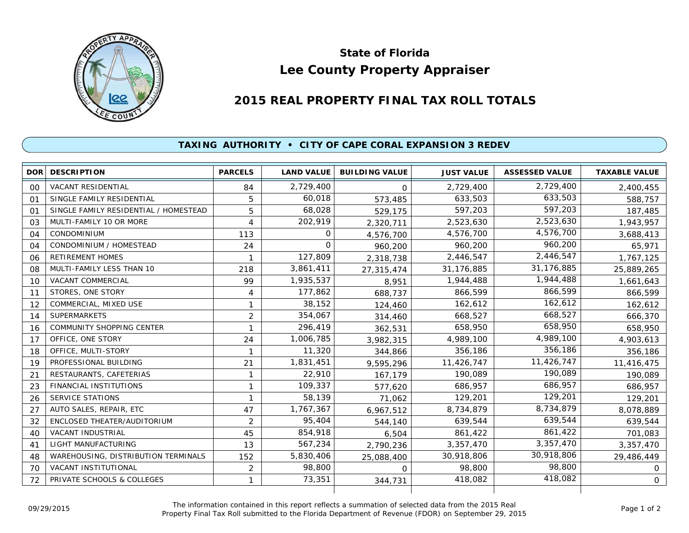

## **Lee County Property Appraiser State of Florida**

## **2015 REAL PROPERTY FINAL TAX ROLL TOTALS**

## **TAXING AUTHORITY • CITY OF CAPE CORAL EXPANSION 3 REDEV**

|                | DOR DESCRIPTION                       | <b>PARCELS</b> | <b>LAND VALUE</b> | <b>BUILDING VALUE</b> | <b>JUST VALUE</b> | <b>ASSESSED VALUE</b> | <b>TAXABLE VALUE</b> |
|----------------|---------------------------------------|----------------|-------------------|-----------------------|-------------------|-----------------------|----------------------|
| $00 \,$        | <b>VACANT RESIDENTIAL</b>             | 84             | 2,729,400         | $\Omega$              | 2,729,400         | 2,729,400             | 2,400,455            |
| 01             | SINGLE FAMILY RESIDENTIAL             | 5              | 60,018            | 573,485               | 633,503           | 633,503               | 588,757              |
| O <sub>1</sub> | SINGLE FAMILY RESIDENTIAL / HOMESTEAD | 5              | 68,028            | 529,175               | 597,203           | 597,203               | 187,485              |
| 03             | MULTI-FAMILY 10 OR MORE               | 4              | 202,919           | 2,320,711             | 2,523,630         | 2,523,630             | 1,943,957            |
| 04             | <b>CONDOMINIUM</b>                    | 113            | 0                 | 4,576,700             | 4,576,700         | 4,576,700             | 3,688,413            |
| 04             | CONDOMINIUM / HOMESTEAD               | 24             | $\Omega$          | 960,200               | 960,200           | 960,200               | 65,971               |
| 06             | <b>RETIREMENT HOMES</b>               | 1              | 127,809           | 2,318,738             | 2,446,547         | 2,446,547             | 1,767,125            |
| 08             | MULTI-FAMILY LESS THAN 10             | 218            | 3,861,411         | 27,315,474            | 31,176,885        | 31,176,885            | 25,889,265           |
| 10             | <b>VACANT COMMERCIAL</b>              | 99             | 1,935,537         | 8,951                 | 1,944,488         | 1,944,488             | 1,661,643            |
| 11             | STORES, ONE STORY                     | $\overline{4}$ | 177,862           | 688,737               | 866,599           | 866,599               | 866,599              |
| 12             | COMMERCIAL, MIXED USE                 | 1              | 38,152            | 124,460               | 162,612           | 162,612               | 162,612              |
| 14             | <b>SUPERMARKETS</b>                   | $\overline{2}$ | 354,067           | 314,460               | 668,527           | 668,527               | 666,370              |
| 16             | <b>COMMUNITY SHOPPING CENTER</b>      |                | 296,419           | 362,531               | 658,950           | 658,950               | 658,950              |
| 17             | OFFICE, ONE STORY                     | 24             | 1,006,785         | 3,982,315             | 4,989,100         | 4,989,100             | 4,903,613            |
| 18             | OFFICE, MULTI-STORY                   | 1              | 11,320            | 344,866               | 356,186           | 356,186               | 356,186              |
| 19             | PROFESSIONAL BUILDING                 | 21             | 1,831,451         | 9,595,296             | 11,426,747        | 11,426,747            | 11,416,475           |
| 21             | RESTAURANTS, CAFETERIAS               | 1              | 22,910            | 167,179               | 190,089           | 190,089               | 190,089              |
| 23             | <b>FINANCIAL INSTITUTIONS</b>         | $\mathbf{1}$   | 109,337           | 577,620               | 686,957           | 686,957               | 686,957              |
| 26             | <b>SERVICE STATIONS</b>               |                | 58,139            | 71,062                | 129,201           | 129,201               | 129,201              |
| 27             | AUTO SALES, REPAIR, ETC               | 47             | 1,767,367         | 6,967,512             | 8,734,879         | 8,734,879             | 8,078,889            |
| 32             | ENCLOSED THEATER/AUDITORIUM           | $\overline{2}$ | 95,404            | 544,140               | 639,544           | 639,544               | 639,544              |
| 40             | VACANT INDUSTRIAL                     | 45             | 854,918           | 6,504                 | 861,422           | 861,422               | 701,083              |
| 41             | LIGHT MANUFACTURING                   | 13             | 567,234           | 2,790,236             | 3,357,470         | 3,357,470             | 3,357,470            |
| 48             | WAREHOUSING, DISTRIBUTION TERMINALS   | 152            | 5,830,406         | 25,088,400            | 30,918,806        | 30,918,806            | 29,486,449           |
| 70             | <b>VACANT INSTITUTIONAL</b>           | $\overline{c}$ | 98,800            | O                     | 98,800            | 98,800                | 0                    |
| 72             | PRIVATE SCHOOLS & COLLEGES            | 1              | 73,351            | 344,731               | 418,082           | 418,082               | $\mathsf{O}$         |
|                |                                       |                |                   |                       |                   |                       |                      |

The information contained in this report reflects a summation of selected data from the 2015 Real Ine information contained in this report reflects a summation of selected data from the 2015 Real<br>Property Final Tax Roll submitted to the Florida Department of Revenue (FDOR) on September 29, 2015